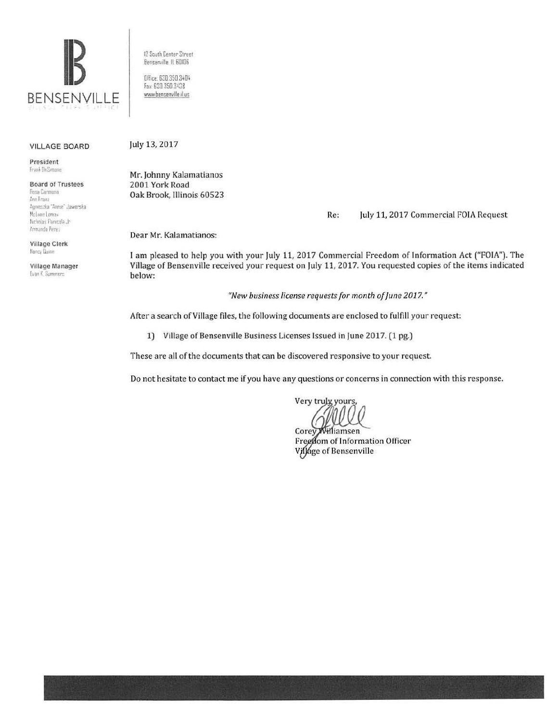

12 South Center Street Bensenville IL 60106 Office: 630.350.3404 Fax: 630 350 3438

www.bensenville.il us

## **VILLAGE BOARD**

President Frank DeSimone

**Board of Trustees** Rosa Carmona Ann Franz Agnieszka "Annie" Jaworska McLane Lomax Nicholas Panicola Jr Armando Perez

**Village Clerk** Nancy Duinn

Village Manager Evan K. Summers

July 13, 2017

Mr. Johnny Kalamatianos 2001 York Road Oak Brook, Illinois 60523

> July 11, 2017 Commercial FOIA Request Re:

Dear Mr. Kalamatianos:

I am pleased to help you with your July 11, 2017 Commercial Freedom of Information Act ("FOIA"). The Village of Bensenville received your request on July 11, 2017. You requested copies of the items indicated below:

"New business license requests for month of June 2017."

After a search of Village files, the following documents are enclosed to fulfill your request:

1) Village of Bensenville Business Licenses Issued in June 2017. (1 pg.)

These are all of the documents that can be discovered responsive to your request.

Do not hesitate to contact me if you have any questions or concerns in connection with this response.

Very truly yours

illiamsen Corey Freedom of Information Officer Village of Bensenville